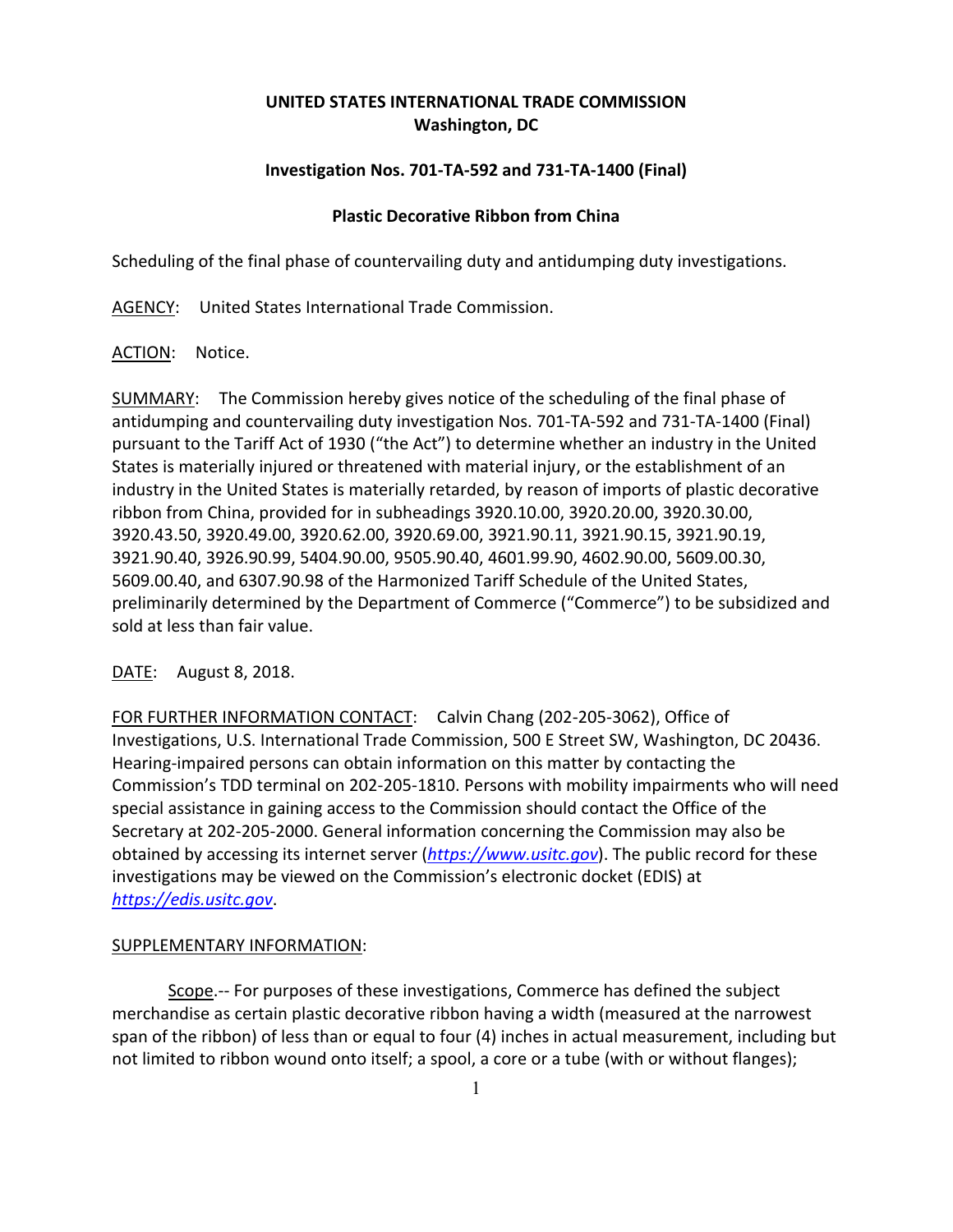# **UNITED STATES INTERNATIONAL TRADE COMMISSION Washington, DC**

## **Investigation Nos. 701‐TA‐592 and 731‐TA‐1400 (Final)**

### **Plastic Decorative Ribbon from China**

Scheduling of the final phase of countervailing duty and antidumping duty investigations.

AGENCY: United States International Trade Commission.

### ACTION: Notice.

SUMMARY: The Commission hereby gives notice of the scheduling of the final phase of antidumping and countervailing duty investigation Nos. 701‐TA‐592 and 731‐TA‐1400 (Final) pursuant to the Tariff Act of 1930 ("the Act") to determine whether an industry in the United States is materially injured or threatened with material injury, or the establishment of an industry in the United States is materially retarded, by reason of imports of plastic decorative ribbon from China, provided for in subheadings 3920.10.00, 3920.20.00, 3920.30.00, 3920.43.50, 3920.49.00, 3920.62.00, 3920.69.00, 3921.90.11, 3921.90.15, 3921.90.19, 3921.90.40, 3926.90.99, 5404.90.00, 9505.90.40, 4601.99.90, 4602.90.00, 5609.00.30, 5609.00.40, and 6307.90.98 of the Harmonized Tariff Schedule of the United States, preliminarily determined by the Department of Commerce ("Commerce") to be subsidized and sold at less than fair value.

DATE: August 8, 2018.

FOR FURTHER INFORMATION CONTACT: Calvin Chang (202-205-3062), Office of Investigations, U.S. International Trade Commission, 500 E Street SW, Washington, DC 20436. Hearing‐impaired persons can obtain information on this matter by contacting the Commission's TDD terminal on 202‐205‐1810. Persons with mobility impairments who will need special assistance in gaining access to the Commission should contact the Office of the Secretary at 202‐205‐2000. General information concerning the Commission may also be obtained by accessing its internet server (*https://www.usitc.gov*). The public record for these investigations may be viewed on the Commission's electronic docket (EDIS) at *https://edis.usitc.gov*.

### SUPPLEMENTARY INFORMATION:

 Scope.‐‐ For purposes of these investigations, Commerce has defined the subject merchandise as certain plastic decorative ribbon having a width (measured at the narrowest span of the ribbon) of less than or equal to four (4) inches in actual measurement, including but not limited to ribbon wound onto itself; a spool, a core or a tube (with or without flanges);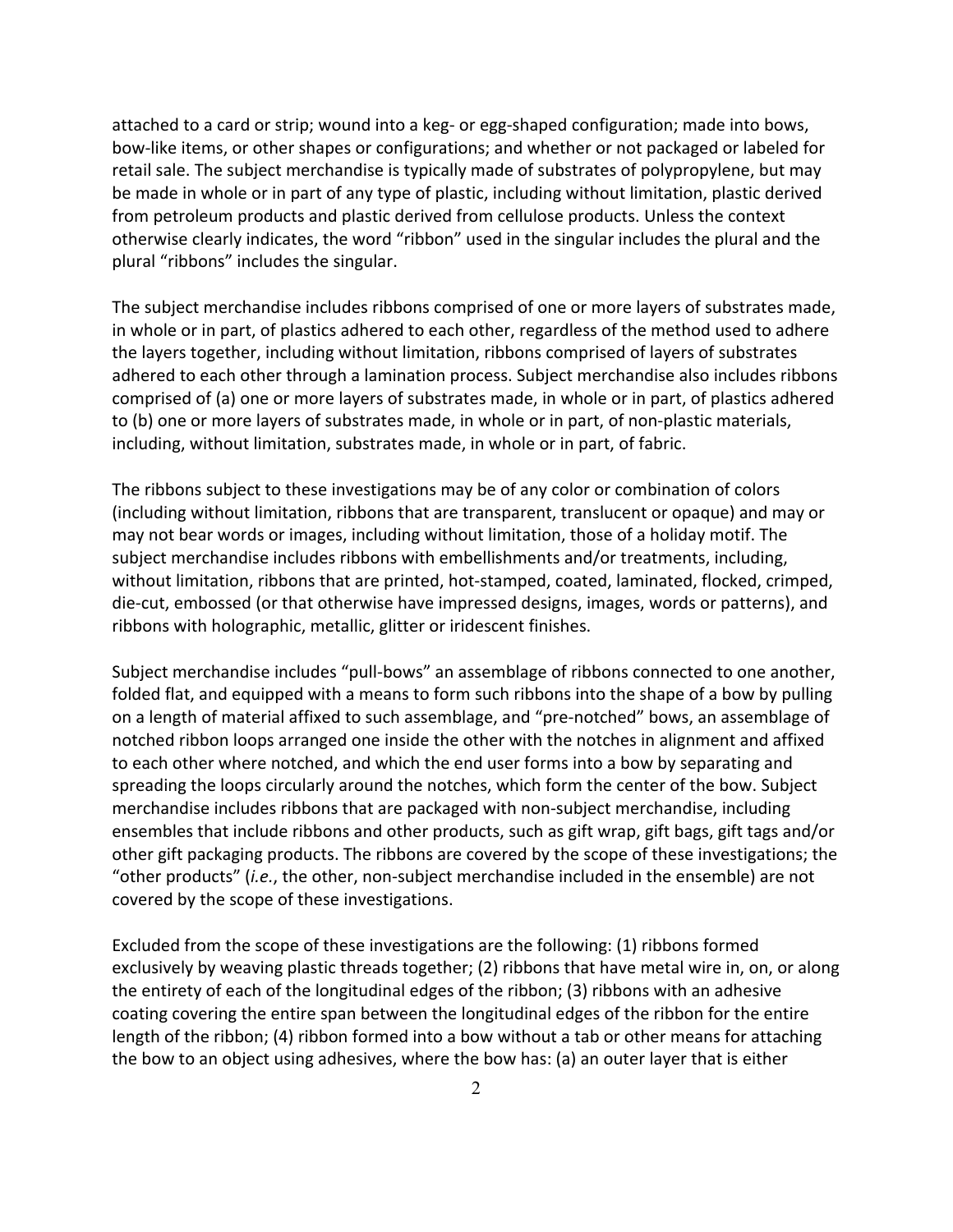attached to a card or strip; wound into a keg‐ or egg‐shaped configuration; made into bows, bow‐like items, or other shapes or configurations; and whether or not packaged or labeled for retail sale. The subject merchandise is typically made of substrates of polypropylene, but may be made in whole or in part of any type of plastic, including without limitation, plastic derived from petroleum products and plastic derived from cellulose products. Unless the context otherwise clearly indicates, the word "ribbon" used in the singular includes the plural and the plural "ribbons" includes the singular.

The subject merchandise includes ribbons comprised of one or more layers of substrates made, in whole or in part, of plastics adhered to each other, regardless of the method used to adhere the layers together, including without limitation, ribbons comprised of layers of substrates adhered to each other through a lamination process. Subject merchandise also includes ribbons comprised of (a) one or more layers of substrates made, in whole or in part, of plastics adhered to (b) one or more layers of substrates made, in whole or in part, of non‐plastic materials, including, without limitation, substrates made, in whole or in part, of fabric.

The ribbons subject to these investigations may be of any color or combination of colors (including without limitation, ribbons that are transparent, translucent or opaque) and may or may not bear words or images, including without limitation, those of a holiday motif. The subject merchandise includes ribbons with embellishments and/or treatments, including, without limitation, ribbons that are printed, hot‐stamped, coated, laminated, flocked, crimped, die‐cut, embossed (or that otherwise have impressed designs, images, words or patterns), and ribbons with holographic, metallic, glitter or iridescent finishes.

Subject merchandise includes "pull‐bows" an assemblage of ribbons connected to one another, folded flat, and equipped with a means to form such ribbons into the shape of a bow by pulling on a length of material affixed to such assemblage, and "pre‐notched" bows, an assemblage of notched ribbon loops arranged one inside the other with the notches in alignment and affixed to each other where notched, and which the end user forms into a bow by separating and spreading the loops circularly around the notches, which form the center of the bow. Subject merchandise includes ribbons that are packaged with non‐subject merchandise, including ensembles that include ribbons and other products, such as gift wrap, gift bags, gift tags and/or other gift packaging products. The ribbons are covered by the scope of these investigations; the "other products" (*i.e.*, the other, non‐subject merchandise included in the ensemble) are not covered by the scope of these investigations.

Excluded from the scope of these investigations are the following: (1) ribbons formed exclusively by weaving plastic threads together; (2) ribbons that have metal wire in, on, or along the entirety of each of the longitudinal edges of the ribbon; (3) ribbons with an adhesive coating covering the entire span between the longitudinal edges of the ribbon for the entire length of the ribbon; (4) ribbon formed into a bow without a tab or other means for attaching the bow to an object using adhesives, where the bow has: (a) an outer layer that is either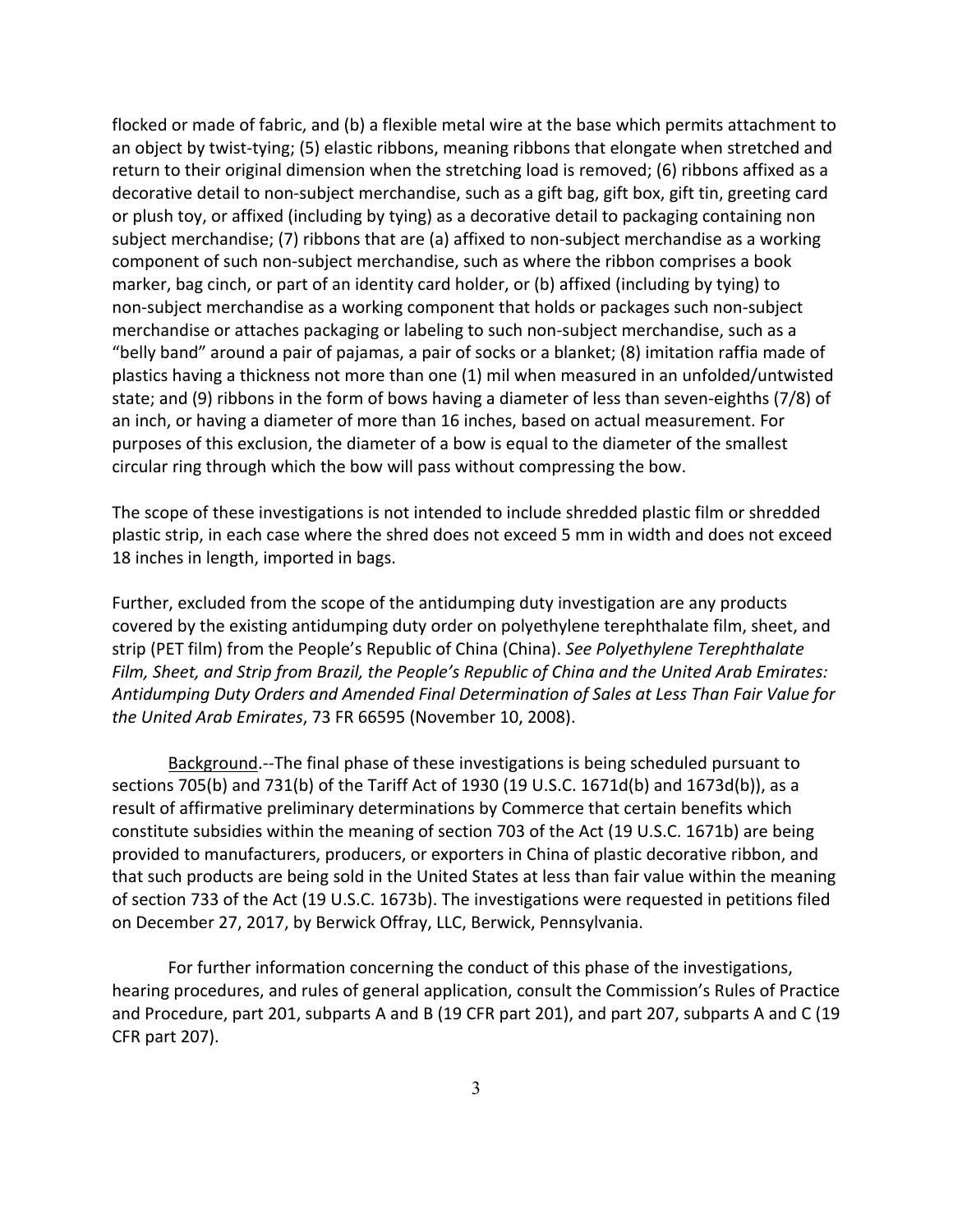flocked or made of fabric, and (b) a flexible metal wire at the base which permits attachment to an object by twist‐tying; (5) elastic ribbons, meaning ribbons that elongate when stretched and return to their original dimension when the stretching load is removed; (6) ribbons affixed as a decorative detail to non‐subject merchandise, such as a gift bag, gift box, gift tin, greeting card or plush toy, or affixed (including by tying) as a decorative detail to packaging containing non subject merchandise; (7) ribbons that are (a) affixed to non-subject merchandise as a working component of such non‐subject merchandise, such as where the ribbon comprises a book marker, bag cinch, or part of an identity card holder, or (b) affixed (including by tying) to non‐subject merchandise as a working component that holds or packages such non‐subject merchandise or attaches packaging or labeling to such non‐subject merchandise, such as a "belly band" around a pair of pajamas, a pair of socks or a blanket; (8) imitation raffia made of plastics having a thickness not more than one (1) mil when measured in an unfolded/untwisted state; and (9) ribbons in the form of bows having a diameter of less than seven‐eighths (7/8) of an inch, or having a diameter of more than 16 inches, based on actual measurement. For purposes of this exclusion, the diameter of a bow is equal to the diameter of the smallest circular ring through which the bow will pass without compressing the bow.

The scope of these investigations is not intended to include shredded plastic film or shredded plastic strip, in each case where the shred does not exceed 5 mm in width and does not exceed 18 inches in length, imported in bags.

Further, excluded from the scope of the antidumping duty investigation are any products covered by the existing antidumping duty order on polyethylene terephthalate film, sheet, and strip (PET film) from the People's Republic of China (China). *See Polyethylene Terephthalate Film, Sheet, and Strip from Brazil, the People's Republic of China and the United Arab Emirates: Antidumping Duty Orders and Amended Final Determination of Sales at Less Than Fair Value for the United Arab Emirates*, 73 FR 66595 (November 10, 2008).

Background.‐‐The final phase of these investigations is being scheduled pursuant to sections 705(b) and 731(b) of the Tariff Act of 1930 (19 U.S.C. 1671d(b) and 1673d(b)), as a result of affirmative preliminary determinations by Commerce that certain benefits which constitute subsidies within the meaning of section 703 of the Act (19 U.S.C. 1671b) are being provided to manufacturers, producers, or exporters in China of plastic decorative ribbon, and that such products are being sold in the United States at less than fair value within the meaning of section 733 of the Act (19 U.S.C. 1673b). The investigations were requested in petitions filed on December 27, 2017, by Berwick Offray, LLC, Berwick, Pennsylvania.

For further information concerning the conduct of this phase of the investigations, hearing procedures, and rules of general application, consult the Commission's Rules of Practice and Procedure, part 201, subparts A and B (19 CFR part 201), and part 207, subparts A and C (19 CFR part 207).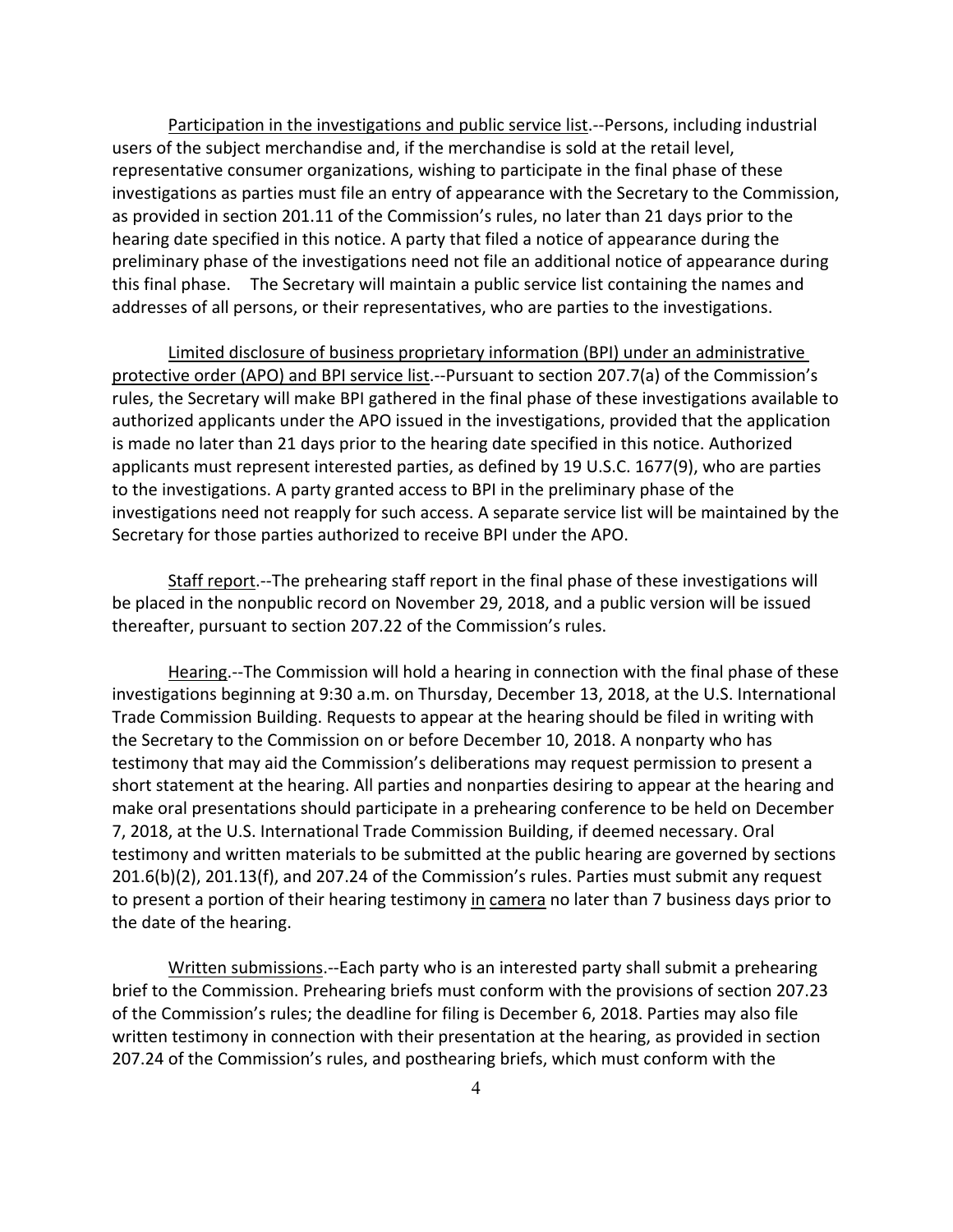Participation in the investigations and public service list.‐‐Persons, including industrial users of the subject merchandise and, if the merchandise is sold at the retail level, representative consumer organizations, wishing to participate in the final phase of these investigations as parties must file an entry of appearance with the Secretary to the Commission, as provided in section 201.11 of the Commission's rules, no later than 21 days prior to the hearing date specified in this notice. A party that filed a notice of appearance during the preliminary phase of the investigations need not file an additional notice of appearance during this final phase. The Secretary will maintain a public service list containing the names and addresses of all persons, or their representatives, who are parties to the investigations.

Limited disclosure of business proprietary information (BPI) under an administrative protective order (APO) and BPI service list.--Pursuant to section 207.7(a) of the Commission's rules, the Secretary will make BPI gathered in the final phase of these investigations available to authorized applicants under the APO issued in the investigations, provided that the application is made no later than 21 days prior to the hearing date specified in this notice. Authorized applicants must represent interested parties, as defined by 19 U.S.C. 1677(9), who are parties to the investigations. A party granted access to BPI in the preliminary phase of the investigations need not reapply for such access. A separate service list will be maintained by the Secretary for those parties authorized to receive BPI under the APO.

Staff report.--The prehearing staff report in the final phase of these investigations will be placed in the nonpublic record on November 29, 2018, and a public version will be issued thereafter, pursuant to section 207.22 of the Commission's rules.

Hearing.--The Commission will hold a hearing in connection with the final phase of these investigations beginning at 9:30 a.m. on Thursday, December 13, 2018, at the U.S. International Trade Commission Building. Requests to appear at the hearing should be filed in writing with the Secretary to the Commission on or before December 10, 2018. A nonparty who has testimony that may aid the Commission's deliberations may request permission to present a short statement at the hearing. All parties and nonparties desiring to appear at the hearing and make oral presentations should participate in a prehearing conference to be held on December 7, 2018, at the U.S. International Trade Commission Building, if deemed necessary. Oral testimony and written materials to be submitted at the public hearing are governed by sections 201.6(b)(2), 201.13(f), and 207.24 of the Commission's rules. Parties must submit any request to present a portion of their hearing testimony in camera no later than 7 business days prior to the date of the hearing.

Written submissions.‐‐Each party who is an interested party shall submit a prehearing brief to the Commission. Prehearing briefs must conform with the provisions of section 207.23 of the Commission's rules; the deadline for filing is December 6, 2018. Parties may also file written testimony in connection with their presentation at the hearing, as provided in section 207.24 of the Commission's rules, and posthearing briefs, which must conform with the